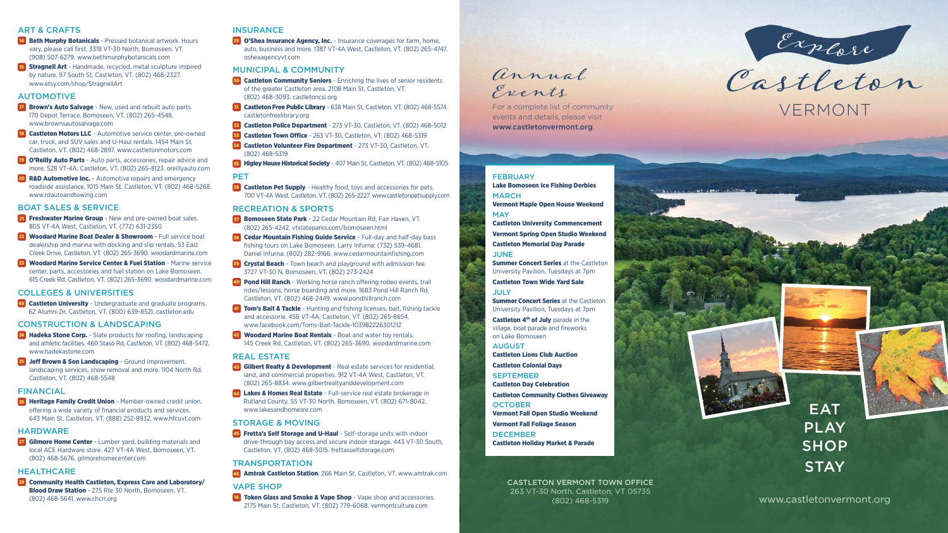

Castleton VERMONT

## **EAT** PLAY **SHOP STAY**

www.castletonvermont.org